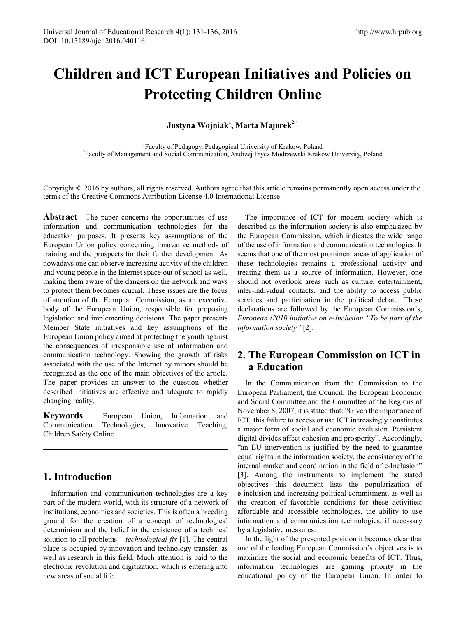# **Children and ICT European Initiatives and Policies on Protecting Children Online**

**Justyna Wojniak1 , Marta Majorek2,\***

<sup>1</sup> Faculty of Pedagogy, Pedagogical University of Krakow, Poland<sup>2</sup><br><sup>2</sup> Faculty of Management and Social Communication, Andrzei Frygz Modrzewski Krako Faculty of Management and Social Communication, Andrzej Frycz Modrzewski Krakow University, Poland

Copyright © 2016 by authors, all rights reserved. Authors agree that this article remains permanently open access under the terms of the Creative Commons Attribution License 4.0 International License

**Abstract** The paper concerns the opportunities of use information and communication technologies for the education purposes. It presents key assumptions of the European Union policy concerning innovative methods of training and the prospects for their further development. As nowadays one can observe increasing activity of the children and young people in the Internet space out of school as well, making them aware of the dangers on the network and ways to protect them becomes crucial. These issues are the focus of attention of the European Commission, as an executive body of the European Union, responsible for proposing legislation and implementing decisions. The paper presents Member State initiatives and key assumptions of the European Union policy aimed at protecting the youth against the consequences of irresponsible use of information and communication technology. Showing the growth of risks associated with the use of the Internet by minors should be recognized as the one of the main objectives of the article. The paper provides an answer to the question whether described initiatives are effective and adequate to rapidly changing reality.

**Keywords** European Union, Information and Communication Technologies, Innovative Teaching, Children Safety Online

## **1. Introduction**

Information and communication technologies are a key part of the modern world, with its structure of a network of institutions, economies and societies. This is often a breeding ground for the creation of a concept of technological determinism and the belief in the existence of a technical solution to all problems – *technological fix* [1]. The central place is occupied by innovation and technology transfer, as well as research in this field. Much attention is paid to the electronic revolution and digitization, which is entering into new areas of social life.

The importance of ICT for modern society which is described as the information society is also emphasized by the European Commission, which indicates the wide range of the use of information and communication technologies. It seems that one of the most prominent areas of application of these technologies remains a professional activity and treating them as a source of information. However, one should not overlook areas such as culture, entertainment, inter-individual contacts, and the ability to access public services and participation in the political debate. These declarations are followed by the European Commission's, *European i2010 initiative on e-Inclusion "To be part of the information society"* [2].

## **2. The European Commission on ICT in a Education**

In the Communication from the Commission to the European Parliament, the Council, the European Economic and Social Committee and the Committee of the Regions of November 8, 2007, it is stated that: "Given the importance of ICT, this failure to access or use ICT increasingly constitutes a major form of social and economic exclusion. Persistent digital divides affect cohesion and prosperity". Accordingly, "an EU intervention is justified by the need to guarantee equal rights in the information society, the consistency of the internal market and coordination in the field of e-Inclusion" [3]. Among the instruments to implement the stated objectives this document lists the popularization of e-inclusion and increasing political commitment, as well as the creation of favorable conditions for these activities: affordable and accessible technologies, the ability to use information and communication technologies, if necessary by a legislative measures.

In the light of the presented position it becomes clear that one of the leading European Commission's objectives is to maximize the social and economic benefits of ICT. Thus, information technologies are gaining priority in the educational policy of the European Union. In order to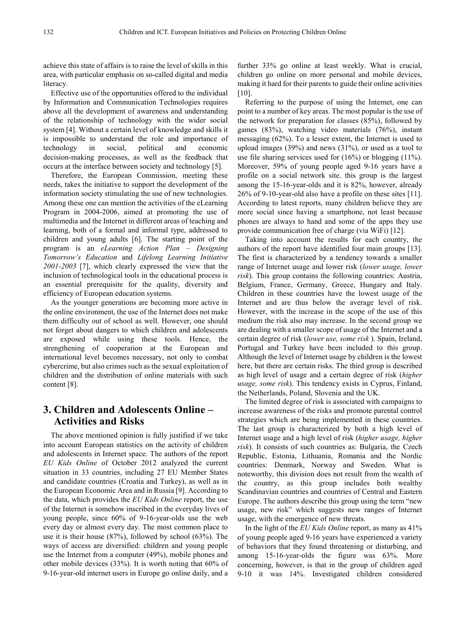achieve this state of affairs is to raise the level of skills in this area, with particular emphasis on so-called digital and media literacy.

Effective use of the opportunities offered to the individual by Information and Communication Technologies requires above all the development of awareness and understanding of the relationship of technology with the wider social system [4]. Without a certain level of knowledge and skills it is impossible to understand the role and importance of technology in social, political and economic decision-making processes, as well as the feedback that occurs at the interface between society and technology [5].

Therefore, the European Commission, meeting these needs, takes the initiative to support the development of the information society stimulating the use of new technologies. Among these one can mention the activities of the eLearning Program in 2004-2006, aimed at promoting the use of multimedia and the Internet in different areas of teaching and learning, both of a formal and informal type, addressed to children and young adults [6]. The starting point of the program is an *eLearning Action Plan – Designing Tomorrow's Education* and *Lifelong Learning Initiative 2001-2003* [7], which clearly expressed the view that the inclusion of technological tools in the educational process is an essential prerequisite for the quality, diversity and efficiency of European education systems.

As the younger generations are becoming more active in the online environment, the use of the Internet does not make them difficulty out of school as well. However, one should not forget about dangers to which children and adolescents are exposed while using these tools. Hence, the strengthening of cooperation at the European and international level becomes necessary, not only to combat cybercrime, but also crimes such as the sexual exploitation of children and the distribution of online materials with such content [8].

### **3. Children and Adolescents Online – Activities and Risks**

The above mentioned opinion is fully justified if we take into account European statistics on the activity of children and adolescents in Internet space. The authors of the report *EU Kids Online* of October 2012 analyzed the current situation in 33 countries, including 27 EU Member States and candidate countries (Croatia and Turkey), as well as in the European Economic Area and in Russia [9]. According to the data, which provides the *EU Kids Online* report, the use of the Internet is somehow inscribed in the everyday lives of young people, since 60% of 9-16-year-olds use the web every day or almost every day. The most common place to use it is their house (87%), followed by school (63%). The ways of access are diversified: children and young people use the Internet from a computer (49%), mobile phones and other mobile devices (33%). It is worth noting that 60% of 9-16-year-old internet users in Europe go online daily, and a

further 33% go online at least weekly. What is crucial, children go online on more personal and mobile devices, making it hard for their parents to guide their online activities [10].

Referring to the purpose of using the Internet, one can point to a number of key areas. The most popular is the use of the network for preparation for classes (85%), followed by games (83%), watching video materials (76%), instant messaging (62%). To a lesser extent, the Internet is used to upload images (39%) and news (31%), or used as a tool to use file sharing services used for (16%) or blogging (11%). Moreover, 59% of young people aged 9-16 years have a profile on a social network site, this group is the largest among the 15-16-year-olds and it is 82%, however, already 26% of 9-10-year-old also have a profile on these sites [11]. According to latest reports, many children believe they are more social since having a smartphone, not least because phones are always to hand and some of the apps they use provide communication free of charge (via WiFi) [12].

Taking into account the results for each country, the authors of the report have identified four main groups [13]. The first is characterized by a tendency towards a smaller range of Internet usage and lower risk (*lower usage, lower risk*). This group contains the following countries: Austria, Belgium, France, Germany, Greece, Hungary and Italy. Children in these countries have the lowest usage of the Internet and are thus below the average level of risk. However, with the increase in the scope of the use of this medium the risk also may increase. In the second group we are dealing with a smaller scope of usage of the Internet and a certain degree of risk (*lower use, some risk* ). Spain, Ireland, Portugal and Turkey have been included to this group. Although the level of Internet usage by children is the lowest here, but there are certain risks. The third group is described as high level of usage and a certain degree of risk (*higher usage, some risk*). This tendency exists in Cyprus, Finland, the Netherlands, Poland, Slovenia and the UK.

The limited degree of risk is associated with campaigns to increase awareness of the risks and promote parental control strategies which are being implemented in these countries. The last group is characterized by both a high level of Internet usage and a high level of risk (*higher usage, higher risk*). It consists of such countries as: Bulgaria, the Czech Republic, Estonia, Lithuania, Romania and the Nordic countries: Denmark, Norway and Sweden. What is noteworthy, this division does not result from the wealth of the country, as this group includes both wealthy Scandinavian countries and countries of Central and Eastern Europe. The authors describe this group using the term "new usage, new risk" which suggests new ranges of Internet usage, with the emergence of new threats.

In the light of the *EU Kids Online* report, as many as 41% of young people aged 9-16 years have experienced a variety of behaviors that they found threatening or disturbing, and among 15-16-year-olds the figure was 63%. More concerning, however, is that in the group of children aged 9-10 it was 14%. Investigated children considered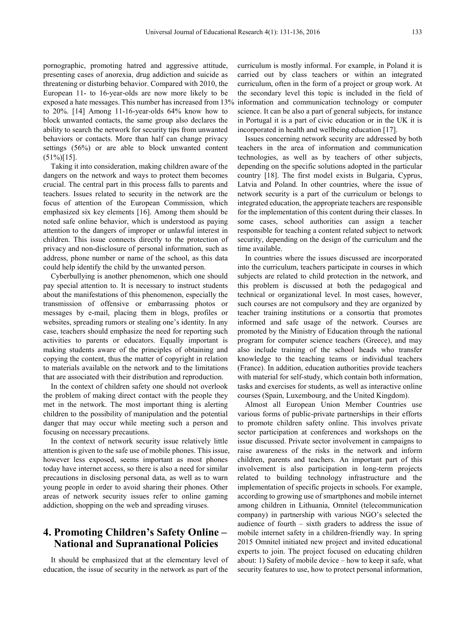pornographic, promoting hatred and aggressive attitude, presenting cases of anorexia, drug addiction and suicide as threatening or disturbing behavior. Compared with 2010, the European 11- to 16-year-olds are now more likely to be exposed a hate messages. This number has increased from 13% to 20%. [14] Among 11-16-year-olds 64% know how to block unwanted contacts, the same group also declares the ability to search the network for security tips from unwanted behaviors or contacts. More than half can change privacy settings (56%) or are able to block unwanted content  $(51\%)$ [15].

Taking it into consideration, making children aware of the dangers on the network and ways to protect them becomes crucial. The central part in this process falls to parents and teachers. Issues related to security in the network are the focus of attention of the European Commission, which emphasized six key elements [16]. Among them should be noted safe online behavior, which is understood as paying attention to the dangers of improper or unlawful interest in children. This issue connects directly to the protection of privacy and non-disclosure of personal information, such as address, phone number or name of the school, as this data could help identify the child by the unwanted person.

Cyberbullying is another phenomenon, which one should pay special attention to. It is necessary to instruct students about the manifestations of this phenomenon, especially the transmission of offensive or embarrassing photos or messages by e-mail, placing them in blogs, profiles or websites, spreading rumors or stealing one's identity. In any case, teachers should emphasize the need for reporting such activities to parents or educators. Equally important is making students aware of the principles of obtaining and copying the content, thus the matter of copyright in relation to materials available on the network and to the limitations that are associated with their distribution and reproduction.

In the context of children safety one should not overlook the problem of making direct contact with the people they met in the network. The most important thing is alerting children to the possibility of manipulation and the potential danger that may occur while meeting such a person and focusing on necessary precautions.

In the context of network security issue relatively little attention is given to the safe use of mobile phones. This issue, however less exposed, seems important as most phones today have internet access, so there is also a need for similar precautions in disclosing personal data, as well as to warn young people in order to avoid sharing their phones. Other areas of network security issues refer to online gaming addiction, shopping on the web and spreading viruses.

### **4. Promoting Children's Safety Online – National and Supranational Policies**

It should be emphasized that at the elementary level of education, the issue of security in the network as part of the

curriculum is mostly informal. For example, in Poland it is carried out by class teachers or within an integrated curriculum, often in the form of a project or group work. At the secondary level this topic is included in the field of information and communication technology or computer science. It can be also a part of general subjects, for instance in Portugal it is a part of civic education or in the UK it is incorporated in health and wellbeing education [17].

Issues concerning network security are addressed by both teachers in the area of information and communication technologies, as well as by teachers of other subjects, depending on the specific solutions adopted in the particular country [18]. The first model exists in Bulgaria, Cyprus, Latvia and Poland. In other countries, where the issue of network security is a part of the curriculum or belongs to integrated education, the appropriate teachers are responsible for the implementation of this content during their classes. In some cases, school authorities can assign a teacher responsible for teaching a content related subject to network security, depending on the design of the curriculum and the time available.

In countries where the issues discussed are incorporated into the curriculum, teachers participate in courses in which subjects are related to child protection in the network, and this problem is discussed at both the pedagogical and technical or organizational level. In most cases, however, such courses are not compulsory and they are organized by teacher training institutions or a consortia that promotes informed and safe usage of the network. Courses are promoted by the Ministry of Education through the national program for computer science teachers (Greece), and may also include training of the school heads who transfer knowledge to the teaching teams or individual teachers (France). In addition, education authorities provide teachers with material for self-study, which contain both information, tasks and exercises for students, as well as interactive online courses (Spain, Luxembourg, and the United Kingdom).

Almost all European Union Member Countries use various forms of public-private partnerships in their efforts to promote children safety online. This involves private sector participation at conferences and workshops on the issue discussed. Private sector involvement in campaigns to raise awareness of the risks in the network and inform children, parents and teachers. An important part of this involvement is also participation in long-term projects related to building technology infrastructure and the implementation of specific projects in schools. For example, according to growing use of smartphones and mobile internet among children in Lithuania, Omnitel (telecommunication company) in partnership with various NGO's selected the audience of fourth – sixth graders to address the issue of mobile internet safety in a children-friendly way. In spring 2015 Omnitel initiated new project and invited educational experts to join. The project focused on educating children about: 1) Safety of mobile device – how to keep it safe, what security features to use, how to protect personal information,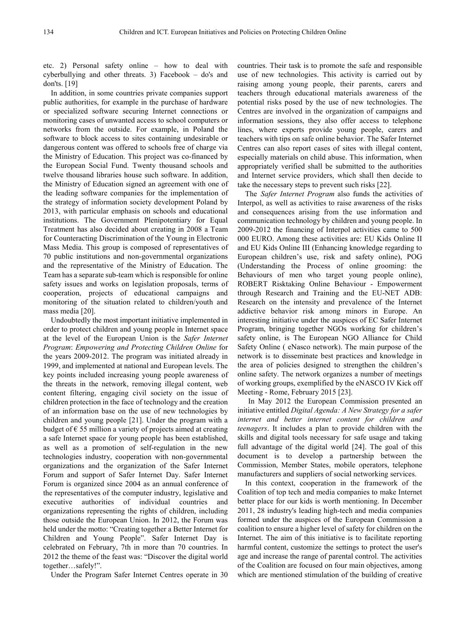etc. 2) Personal safety online – how to deal with cyberbullying and other threats. 3) Facebook – do's and don'ts. [19]

In addition, in some countries private companies support public authorities, for example in the purchase of hardware or specialized software securing Internet connections or monitoring cases of unwanted access to school computers or networks from the outside. For example, in Poland the software to block access to sites containing undesirable or dangerous content was offered to schools free of charge via the Ministry of Education. This project was co-financed by the European Social Fund. Twenty thousand schools and twelve thousand libraries house such software. In addition, the Ministry of Education signed an agreement with one of the leading software companies for the implementation of the strategy of information society development Poland by 2013, with particular emphasis on schools and educational institutions. The Government Plenipotentiary for Equal Treatment has also decided about creating in 2008 a Team for Counteracting Discrimination of the Young in Electronic Mass Media. This group is composed of representatives of 70 public institutions and non-governmental organizations and the representative of the Ministry of Education. The Team has a separate sub-team which is responsible for online safety issues and works on legislation proposals, terms of cooperation, projects of educational campaigns and monitoring of the situation related to children/youth and mass media [20].

Undoubtedly the most important initiative implemented in order to protect children and young people in Internet space at the level of the European Union is the *Safer Internet Program*: *Empowering and Protecting Children Online* for the years 2009-2012. The program was initiated already in 1999, and implemented at national and European levels. The key points included increasing young people awareness of the threats in the network, removing illegal content, web content filtering, engaging civil society on the issue of children protection in the face of technology and the creation of an information base on the use of new technologies by children and young people [21]. Under the program with a budget of  $\epsilon$  55 million a variety of projects aimed at creating a safe Internet space for young people has been established, as well as a promotion of self-regulation in the new technologies industry, cooperation with non-governmental organizations and the organization of the Safer Internet Forum and support of Safer Internet Day. Safer Internet Forum is organized since 2004 as an annual conference of the representatives of the computer industry, legislative and executive authorities of individual countries and organizations representing the rights of children, including those outside the European Union. In 2012, the Forum was held under the motto: "Creating together a Better Internet for Children and Young People". Safer Internet Day is celebrated on February, 7th in more than 70 countries. In 2012 the theme of the feast was: "Discover the digital world together…safely!".

Under the Program Safer Internet Centres operate in 30

countries. Their task is to promote the safe and responsible use of new technologies. This activity is carried out by raising among young people, their parents, carers and teachers through educational materials awareness of the potential risks posed by the use of new technologies. The Centres are involved in the organization of campaigns and information sessions, they also offer access to telephone lines, where experts provide young people, carers and teachers with tips on safe online behavior. The Safer Internet Centres can also report cases of sites with illegal content, especially materials on child abuse. This information, when appropriately verified shall be submitted to the authorities and Internet service providers, which shall then decide to take the necessary steps to prevent such risks [22].

The *Safer Internet Program* also funds the activities of Interpol, as well as activities to raise awareness of the risks and consequences arising from the use information and communication technology by children and young people. In 2009-2012 the financing of Interpol activities came to 500 000 EURO. Among these activities are: EU Kids Online II and EU Kids Online III (Enhancing knowledge regarding to European children's use, risk and safety online), POG (Understanding the Process of online grooming: the Behaviours of men who target young people online), ROBERT Risktaking Online Behaviour - Empowerment through Research and Training and the EU-NET ADB: Research on the intensity and prevalence of the Internet addictive behavior risk among minors in Europe. An interesting initiative under the auspices of EC Safer Internet Program, bringing together NGOs working for children's safety online, is The European NGO Alliance for Child Safety Online ( eNasco network). The main purpose of the network is to disseminate best practices and knowledge in the area of policies designed to strengthen the children's online safety. The network organizes a number of meetings of working groups, exemplified by the eNASCO IV Kick off Meeting - Rome, February 2015 [23].

In May 2012 the European Commission presented an initiative entitled *Digital Agenda: A New Strategy for a safer internet and better internet content for children and teenagers*. It includes a plan to provide children with the skills and digital tools necessary for safe usage and taking full advantage of the digital world [24]. The goal of this document is to develop a partnership between the Commission, Member States, mobile operators, telephone manufacturers and suppliers of social networking services.

In this context, cooperation in the framework of the Coalition of top tech and media companies to make Internet better place for our kids is worth mentioning. In December 2011, 28 industry's leading high-tech and media companies formed under the auspices of the European Commission a coalition to ensure a higher level of safety for children on the Internet. The aim of this initiative is to facilitate reporting harmful content, customize the settings to protect the user's age and increase the range of parental control. The activities of the Coalition are focused on four main objectives, among which are mentioned stimulation of the building of creative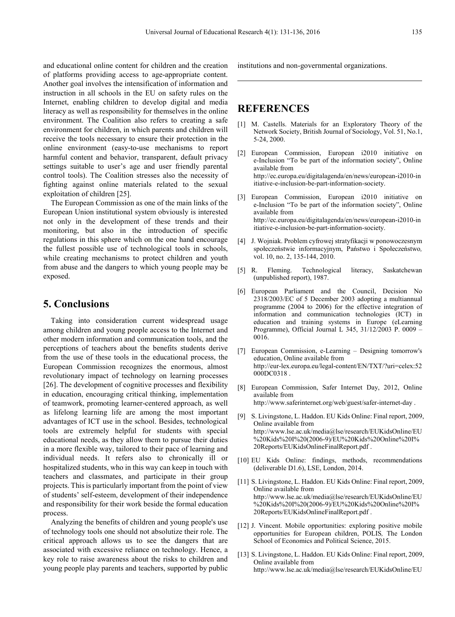and educational online content for children and the creation of platforms providing access to age-appropriate content. Another goal involves the intensification of information and instruction in all schools in the EU on safety rules on the Internet, enabling children to develop digital and media literacy as well as responsibility for themselves in the online environment. The Coalition also refers to creating a safe environment for children, in which parents and children will receive the tools necessary to ensure their protection in the online environment (easy-to-use mechanisms to report harmful content and behavior, transparent, default privacy settings suitable to user's age and user friendly parental control tools). The Coalition stresses also the necessity of fighting against online materials related to the sexual exploitation of children [25].

The European Commission as one of the main links of the European Union institutional system obviously is interested not only in the development of these trends and their monitoring, but also in the introduction of specific regulations in this sphere which on the one hand encourage the fullest possible use of technological tools in schools, while creating mechanisms to protect children and youth from abuse and the dangers to which young people may be exposed.

#### **5. Conclusions**

Taking into consideration current widespread usage among children and young people access to the Internet and other modern information and communication tools, and the perceptions of teachers about the benefits students derive from the use of these tools in the educational process, the European Commission recognizes the enormous, almost revolutionary impact of technology on learning processes [26]. The development of cognitive processes and flexibility in education, encouraging critical thinking, implementation of teamwork, promoting learner-centered approach, as well as lifelong learning life are among the most important advantages of ICT use in the school. Besides, technological tools are extremely helpful for students with special educational needs, as they allow them to pursue their duties in a more flexible way, tailored to their pace of learning and individual needs. It refers also to chronically ill or hospitalized students, who in this way can keep in touch with teachers and classmates, and participate in their group projects. This is particularly important from the point of view of students' self-esteem, development of their independence and responsibility for their work beside the formal education process.

Analyzing the benefits of children and young people's use of technology tools one should not absolutize their role. The critical approach allows us to see the dangers that are associated with excessive reliance on technology. Hence, a key role to raise awareness about the risks to children and young people play parents and teachers, supported by public institutions and non-governmental organizations.

#### **REFERENCES**

- [1] M. Castells. Materials for an Exploratory Theory of the Network Society, British Journal of Sociology, Vol. 51, No.1, 5-24, 2000.
- [2] European Commission, European i2010 initiative on e-Inclusion "To be part of the information society", Online available from http://ec.europa.eu/digitalagenda/en/news/european-i2010-in itiative-e-inclusion-be-part-information-society.
- [3] European Commission, European i2010 initiative on e-Inclusion "To be part of the information society", Online available from http://ec.europa.eu/digitalagenda/en/news/european-i2010-in itiative-e-inclusion-be-part-information-society.
- [4] J. Wojniak. Problem cyfrowej stratyfikacji w ponowoczesnym społeczeństwie informacyjnym, Państwo i Społeczeństwo*,*  vol. 10, no. 2, 135-144, 2010.
- [5] R. Fleming. Technological literacy, Saskatchewan (unpublished report), 1987.
- [6] European Parliament and the Council, Decision No 2318/2003/EC of 5 December 2003 adopting a multiannual programme (2004 to 2006) for the effective integration of information and communication technologies (ICT) in education and training systems in Europe (eLearning Programme), Official Journal L 345, 31/12/2003 P. 0009 – 0016.
- [7] European Commission, e-Learning Designing tomorrow's education, Online available from http://eur-lex.europa.eu/legal-content/EN/TXT/?uri=celex:52 000DC0318 .
- [8] European Commission, Safer Internet Day, 2012, Online available from http://www.saferinternet.org/web/guest/safer-internet-day .
- [9] S. Livingstone, L. Haddon. EU Kids Online: Final report, 2009, Online available from http://www.lse.ac.uk/media@lse/research/EUKidsOnline/EU %20Kids%20I%20(2006-9)/EU%20Kids%20Online%20I% 20Reports/EUKidsOnlineFinalReport.pdf .
- [10] EU Kids Online: findings, methods, recommendations (deliverable D1.6), LSE, London, 2014.
- [11] S. Livingstone, L. Haddon. EU Kids Online: Final report, 2009, Online available from http://www.lse.ac.uk/media@lse/research/EUKidsOnline/EU %20Kids%20I%20(2006-9)/EU%20Kids%20Online%20I% 20Reports/EUKidsOnlineFinalReport.pdf .
- [12] J. Vincent. Mobile opportunities: exploring positive mobile opportunities for European children, POLIS*,* The London School of Economics and Political Science, 2015.
- [13] S. Livingstone, L. Haddon. EU Kids Online: Final report, 2009, Online available from http://www.lse.ac.uk/media@lse/research/EUKidsOnline/EU